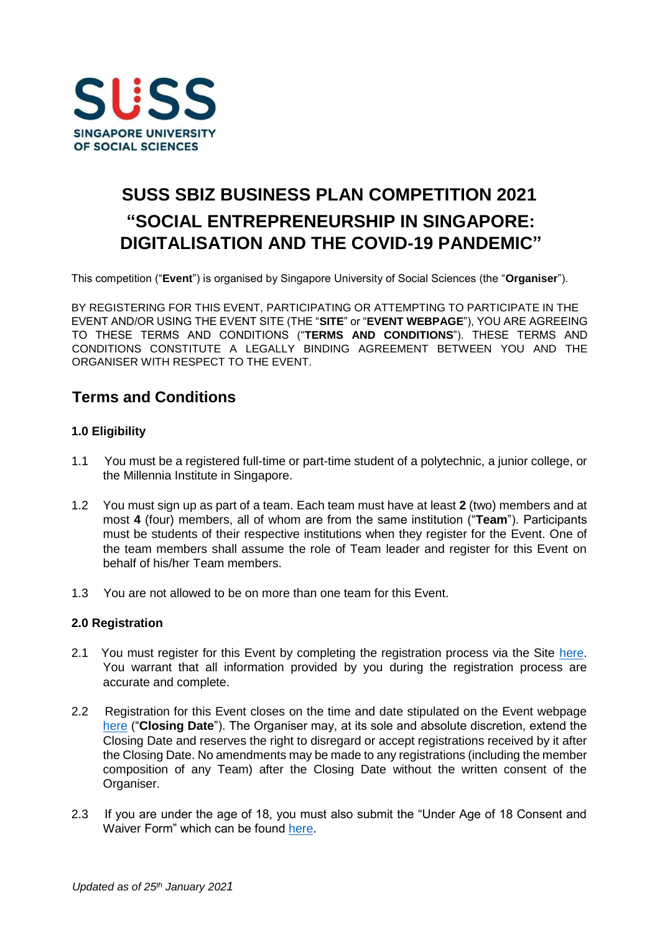

# **SUSS SBIZ BUSINESS PLAN COMPETITION 2021 "SOCIAL ENTREPRENEURSHIP IN SINGAPORE: DIGITALISATION AND THE COVID-19 PANDEMIC"**

This competition ("**Event**") is organised by Singapore University of Social Sciences (the "**Organiser**").

BY REGISTERING FOR THIS EVENT, PARTICIPATING OR ATTEMPTING TO PARTICIPATE IN THE EVENT AND/OR USING THE EVENT SITE (THE "**SITE**" or "**EVENT WEBPAGE**"), YOU ARE AGREEING TO THESE TERMS AND CONDITIONS ("**TERMS AND CONDITIONS**"). THESE TERMS AND CONDITIONS CONSTITUTE A LEGALLY BINDING AGREEMENT BETWEEN YOU AND THE ORGANISER WITH RESPECT TO THE EVENT.

## **Terms and Conditions**

## **1.0 Eligibility**

- 1.1 You must be a registered full-time or part-time student of a polytechnic, a junior college, or the Millennia Institute in Singapore.
- 1.2 You must sign up as part of a team. Each team must have at least **2** (two) members and at most **4** (four) members, all of whom are from the same institution ("**Team**"). Participants must be students of their respective institutions when they register for the Event. One of the team members shall assume the role of Team leader and register for this Event on behalf of his/her Team members.
- 1.3 You are not allowed to be on more than one team for this Event.

## **2.0 Registration**

- 2.1 You must register for this Event by completing the registration process via the Site [here](https://www.suss.edu.sg/bpc2021)[.](https://www.suss.edu.sg/bpc2020) You warrant that all information provided by you during the registration process are accurate and complete.
- 2.2 Registration for this Event closes on the time and date stipulated on the Event webpage [here](https://www.suss.edu.sg/bpc2021) [\(](https://www.suss.edu.sg/bpc2021)"**Closing Date**"). The Organiser may, at its sole and absolute discretion, extend the Closing Date and reserves the right to disregard or accept registrations received by it after the Closing Date. No amendments may be made to any registrations (including the member composition of any Team) after the Closing Date without the written consent of the Organiser.
- 2.3 If you are under the age of 18, you must also submit the "Under Age of 18 Consent and Waiver Form" which can be found [here.](https://www.suss.edu.sg/docs/default-source/contentdoc/sbiz/bpc2021-consentform.pdf)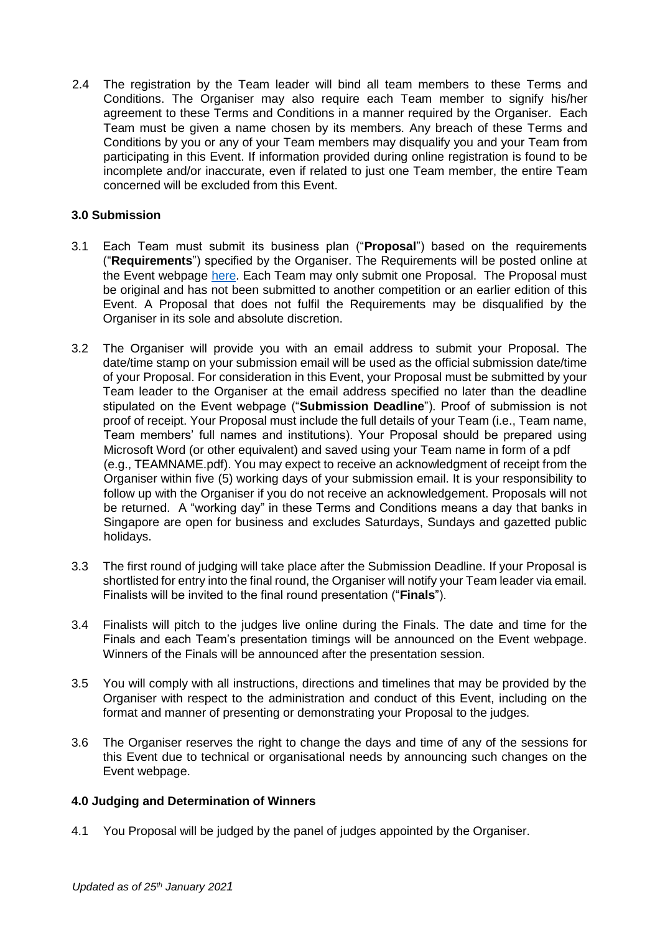2.4 The registration by the Team leader will bind all team members to these Terms and Conditions. The Organiser may also require each Team member to signify his/her agreement to these Terms and Conditions in a manner required by the Organiser. Each Team must be given a name chosen by its members. Any breach of these Terms and Conditions by you or any of your Team members may disqualify you and your Team from participating in this Event. If information provided during online registration is found to be incomplete and/or inaccurate, even if related to just one Team member, the entire Team concerned will be excluded from this Event.

## **3.0 Submission**

- 3.1 Each Team must submit its business plan ("**Proposal**") based on the requirements ("**Requirements**") specified by the Organiser. The Requirements will be posted online at the Event webpage [here.](https://www.suss.edu.sg/bpc2021) Each Team may only submit one Proposal. The Proposal must be original and has not been submitted to another competition or an earlier edition of this Event. A Proposal that does not fulfil the Requirements may be disqualified by the Organiser in its sole and absolute discretion.
- 3.2 The Organiser will provide you with an email address to submit your Proposal. The date/time stamp on your submission email will be used as the official submission date/time of your Proposal. For consideration in this Event, your Proposal must be submitted by your Team leader to the Organiser at the email address specified no later than the deadline stipulated on the Event webpage ("**Submission Deadline**"). Proof of submission is not proof of receipt. Your Proposal must include the full details of your Team (i.e., Team name, Team members' full names and institutions). Your Proposal should be prepared using Microsoft Word (or other equivalent) and saved using your Team name in form of a pdf (e.g., TEAMNAME.pdf). You may expect to receive an acknowledgment of receipt from the Organiser within five (5) working days of your submission email. It is your responsibility to follow up with the Organiser if you do not receive an acknowledgement. Proposals will not be returned. A "working day" in these Terms and Conditions means a day that banks in Singapore are open for business and excludes Saturdays, Sundays and gazetted public holidays.
- 3.3 The first round of judging will take place after the Submission Deadline. If your Proposal is shortlisted for entry into the final round, the Organiser will notify your Team leader via email. Finalists will be invited to the final round presentation ("**Finals**").
- 3.4 Finalists will pitch to the judges live online during the Finals. The date and time for the Finals and each Team's presentation timings will be announced on the Event webpage. Winners of the Finals will be announced after the presentation session.
- 3.5 You will comply with all instructions, directions and timelines that may be provided by the Organiser with respect to the administration and conduct of this Event, including on the format and manner of presenting or demonstrating your Proposal to the judges.
- 3.6 The Organiser reserves the right to change the days and time of any of the sessions for this Event due to technical or organisational needs by announcing such changes on the Event webpage.

## **4.0 Judging and Determination of Winners**

4.1 You Proposal will be judged by the panel of judges appointed by the Organiser.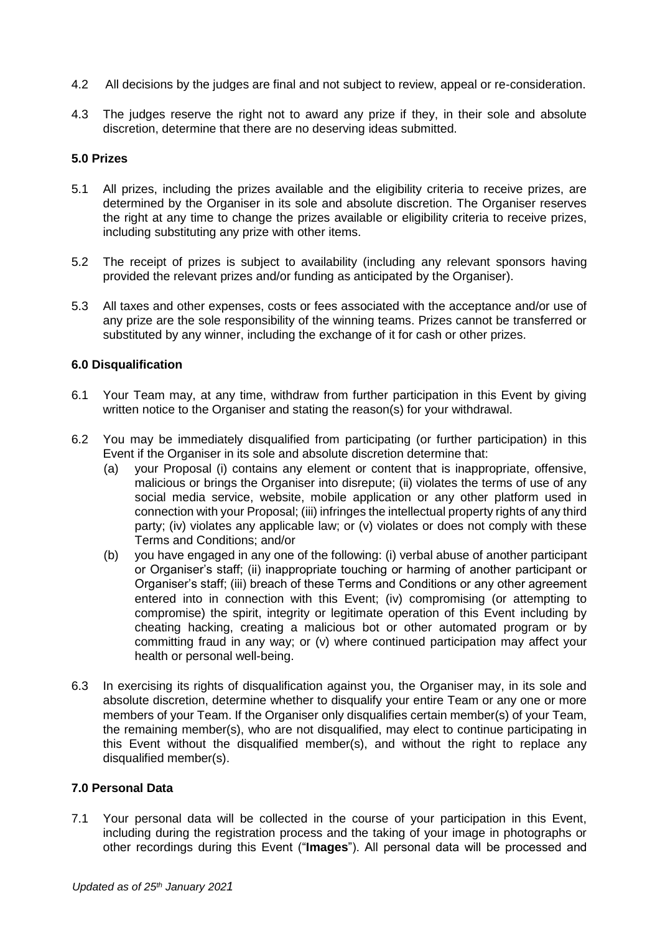- 4.2 All decisions by the judges are final and not subject to review, appeal or re-consideration.
- 4.3 The judges reserve the right not to award any prize if they, in their sole and absolute discretion, determine that there are no deserving ideas submitted.

#### **5.0 Prizes**

- 5.1 All prizes, including the prizes available and the eligibility criteria to receive prizes, are determined by the Organiser in its sole and absolute discretion. The Organiser reserves the right at any time to change the prizes available or eligibility criteria to receive prizes, including substituting any prize with other items.
- 5.2 The receipt of prizes is subject to availability (including any relevant sponsors having provided the relevant prizes and/or funding as anticipated by the Organiser).
- 5.3 All taxes and other expenses, costs or fees associated with the acceptance and/or use of any prize are the sole responsibility of the winning teams. Prizes cannot be transferred or substituted by any winner, including the exchange of it for cash or other prizes.

#### **6.0 Disqualification**

- 6.1 Your Team may, at any time, withdraw from further participation in this Event by giving written notice to the Organiser and stating the reason(s) for your withdrawal.
- 6.2 You may be immediately disqualified from participating (or further participation) in this Event if the Organiser in its sole and absolute discretion determine that:
	- (a) your Proposal (i) contains any element or content that is inappropriate, offensive, malicious or brings the Organiser into disrepute; (ii) violates the terms of use of any social media service, website, mobile application or any other platform used in connection with your Proposal; (iii) infringes the intellectual property rights of any third party; (iv) violates any applicable law; or (v) violates or does not comply with these Terms and Conditions; and/or
	- (b) you have engaged in any one of the following: (i) verbal abuse of another participant or Organiser's staff; (ii) inappropriate touching or harming of another participant or Organiser's staff; (iii) breach of these Terms and Conditions or any other agreement entered into in connection with this Event; (iv) compromising (or attempting to compromise) the spirit, integrity or legitimate operation of this Event including by cheating hacking, creating a malicious bot or other automated program or by committing fraud in any way; or (v) where continued participation may affect your health or personal well-being.
- 6.3 In exercising its rights of disqualification against you, the Organiser may, in its sole and absolute discretion, determine whether to disqualify your entire Team or any one or more members of your Team. If the Organiser only disqualifies certain member(s) of your Team, the remaining member(s), who are not disqualified, may elect to continue participating in this Event without the disqualified member(s), and without the right to replace any disqualified member(s).

#### **7.0 Personal Data**

7.1 Your personal data will be collected in the course of your participation in this Event, including during the registration process and the taking of your image in photographs or other recordings during this Event ("**Images**"). All personal data will be processed and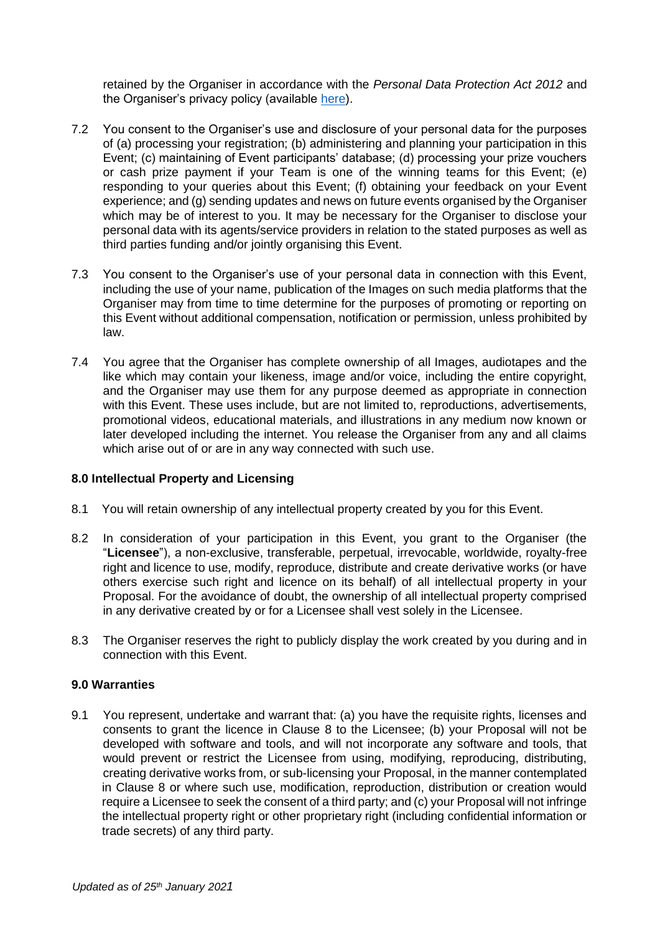retained by the Organiser in accordance with the *Personal Data Protection Act 2012* and the Organiser's privacy policy (available [here\).](http://www.suss.edu.sg/Privacy-Policy)

- 7.2 You consent to the Organiser's use and disclosure of your personal data for the purposes of (a) processing your registration; (b) administering and planning your participation in this Event; (c) maintaining of Event participants' database; (d) processing your prize vouchers or cash prize payment if your Team is one of the winning teams for this Event; (e) responding to your queries about this Event; (f) obtaining your feedback on your Event experience; and (g) sending updates and news on future events organised by the Organiser which may be of interest to you. It may be necessary for the Organiser to disclose your personal data with its agents/service providers in relation to the stated purposes as well as third parties funding and/or jointly organising this Event.
- 7.3 You consent to the Organiser's use of your personal data in connection with this Event, including the use of your name, publication of the Images on such media platforms that the Organiser may from time to time determine for the purposes of promoting or reporting on this Event without additional compensation, notification or permission, unless prohibited by law.
- 7.4 You agree that the Organiser has complete ownership of all Images, audiotapes and the like which may contain your likeness, image and/or voice, including the entire copyright, and the Organiser may use them for any purpose deemed as appropriate in connection with this Event. These uses include, but are not limited to, reproductions, advertisements, promotional videos, educational materials, and illustrations in any medium now known or later developed including the internet. You release the Organiser from any and all claims which arise out of or are in any way connected with such use.

## **8.0 Intellectual Property and Licensing**

- 8.1 You will retain ownership of any intellectual property created by you for this Event.
- 8.2 In consideration of your participation in this Event, you grant to the Organiser (the "**Licensee**"), a non-exclusive, transferable, perpetual, irrevocable, worldwide, royalty-free right and licence to use, modify, reproduce, distribute and create derivative works (or have others exercise such right and licence on its behalf) of all intellectual property in your Proposal. For the avoidance of doubt, the ownership of all intellectual property comprised in any derivative created by or for a Licensee shall vest solely in the Licensee.
- 8.3 The Organiser reserves the right to publicly display the work created by you during and in connection with this Event.

## **9.0 Warranties**

9.1 You represent, undertake and warrant that: (a) you have the requisite rights, licenses and consents to grant the licence in Clause 8 to the Licensee; (b) your Proposal will not be developed with software and tools, and will not incorporate any software and tools, that would prevent or restrict the Licensee from using, modifying, reproducing, distributing, creating derivative works from, or sub-licensing your Proposal, in the manner contemplated in Clause 8 or where such use, modification, reproduction, distribution or creation would require a Licensee to seek the consent of a third party; and (c) your Proposal will not infringe the intellectual property right or other proprietary right (including confidential information or trade secrets) of any third party.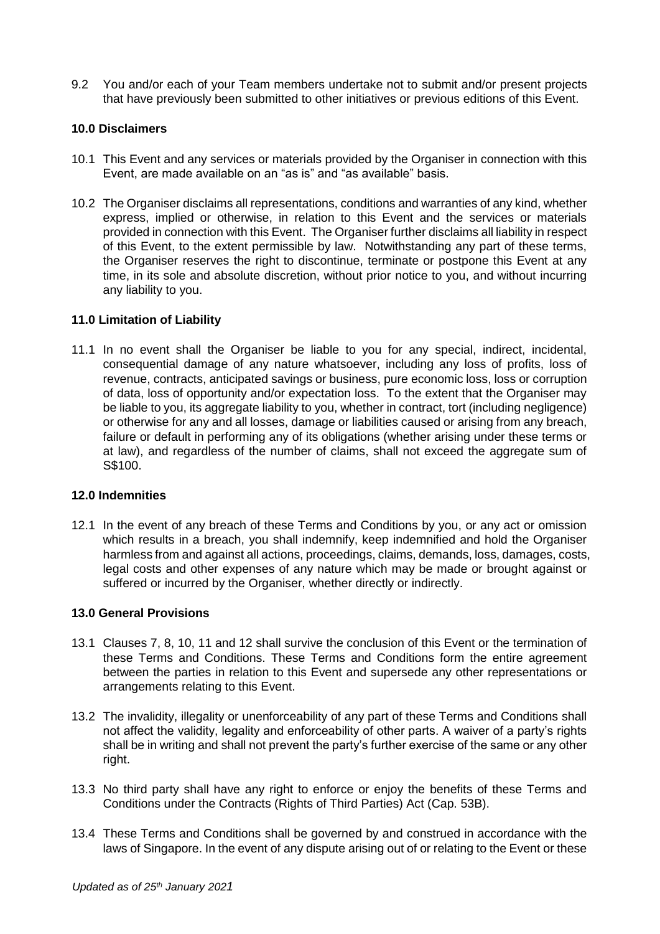9.2 You and/or each of your Team members undertake not to submit and/or present projects that have previously been submitted to other initiatives or previous editions of this Event.

## **10.0 Disclaimers**

- 10.1 This Event and any services or materials provided by the Organiser in connection with this Event, are made available on an "as is" and "as available" basis.
- 10.2 The Organiser disclaims all representations, conditions and warranties of any kind, whether express, implied or otherwise, in relation to this Event and the services or materials provided in connection with this Event. The Organiser further disclaims all liability in respect of this Event, to the extent permissible by law. Notwithstanding any part of these terms, the Organiser reserves the right to discontinue, terminate or postpone this Event at any time, in its sole and absolute discretion, without prior notice to you, and without incurring any liability to you.

## **11.0 Limitation of Liability**

11.1 In no event shall the Organiser be liable to you for any special, indirect, incidental, consequential damage of any nature whatsoever, including any loss of profits, loss of revenue, contracts, anticipated savings or business, pure economic loss, loss or corruption of data, loss of opportunity and/or expectation loss. To the extent that the Organiser may be liable to you, its aggregate liability to you, whether in contract, tort (including negligence) or otherwise for any and all losses, damage or liabilities caused or arising from any breach, failure or default in performing any of its obligations (whether arising under these terms or at law), and regardless of the number of claims, shall not exceed the aggregate sum of S\$100.

## **12.0 Indemnities**

12.1 In the event of any breach of these Terms and Conditions by you, or any act or omission which results in a breach, you shall indemnify, keep indemnified and hold the Organiser harmless from and against all actions, proceedings, claims, demands, loss, damages, costs, legal costs and other expenses of any nature which may be made or brought against or suffered or incurred by the Organiser, whether directly or indirectly.

## **13.0 General Provisions**

- 13.1 Clauses 7, 8, 10, 11 and 12 shall survive the conclusion of this Event or the termination of these Terms and Conditions. These Terms and Conditions form the entire agreement between the parties in relation to this Event and supersede any other representations or arrangements relating to this Event.
- 13.2 The invalidity, illegality or unenforceability of any part of these Terms and Conditions shall not affect the validity, legality and enforceability of other parts. A waiver of a party's rights shall be in writing and shall not prevent the party's further exercise of the same or any other right.
- 13.3 No third party shall have any right to enforce or enjoy the benefits of these Terms and Conditions under the Contracts (Rights of Third Parties) Act (Cap. 53B).
- 13.4 These Terms and Conditions shall be governed by and construed in accordance with the laws of Singapore. In the event of any dispute arising out of or relating to the Event or these